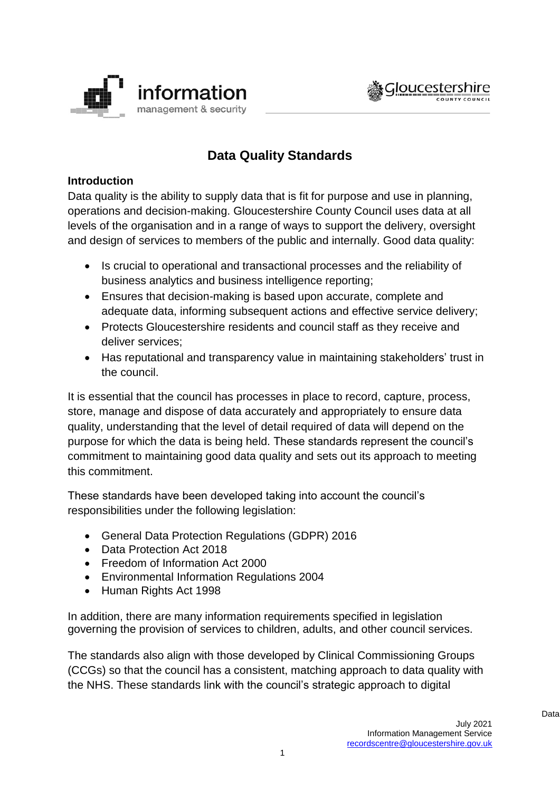



# **Data Quality Standards**

# **Introduction**

Data quality is the ability to supply data that is fit for purpose and use in planning, operations and decision-making. Gloucestershire County Council uses data at all levels of the organisation and in a range of ways to support the delivery, oversight and design of services to members of the public and internally. Good data quality:

- Is crucial to operational and transactional processes and the reliability of business analytics and business intelligence reporting;
- Ensures that decision-making is based upon accurate, complete and adequate data, informing subsequent actions and effective service delivery;
- Protects Gloucestershire residents and council staff as they receive and deliver services;
- Has reputational and transparency value in maintaining stakeholders' trust in the council.

It is essential that the council has processes in place to record, capture, process, store, manage and dispose of data accurately and appropriately to ensure data quality, understanding that the level of detail required of data will depend on the purpose for which the data is being held. These standards represent the council's commitment to maintaining good data quality and sets out its approach to meeting this commitment.

These standards have been developed taking into account the council's responsibilities under the following legislation:

- General Data Protection Regulations (GDPR) 2016
- Data Protection Act 2018
- Freedom of Information Act 2000
- Environmental Information Regulations 2004
- Human Rights Act 1998

In addition, there are many information requirements specified in legislation governing the provision of services to children, adults, and other council services.

The standards also align with those developed by Clinical Commissioning Groups (CCGs) so that the council has a consistent, matching approach to data quality with the NHS. These standards link with the council's strategic approach to digital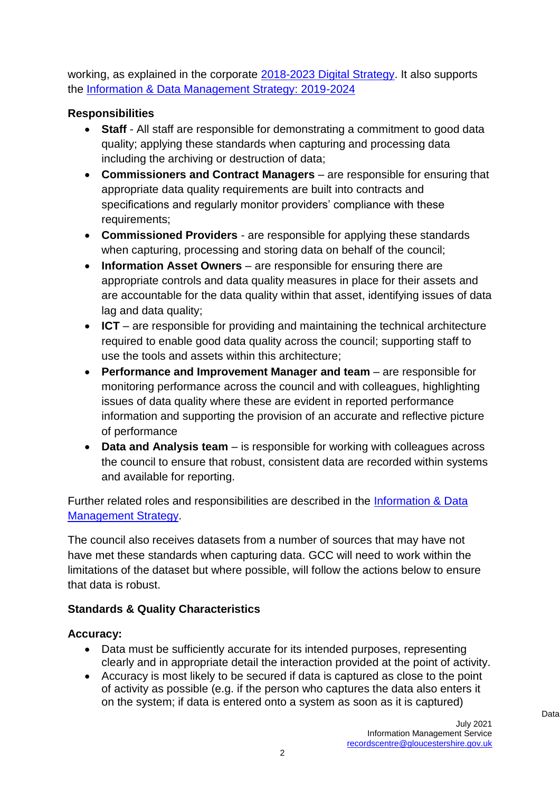working, as explained in the corporate [2018-2023 Digital Strategy.](https://staffnet.gloucestershire.gov.uk/media/222503/2018-2023-gcc-digital-strategy.pdf) It also supports the [Information & Data Management Strategy: 2019-2024](https://www.gloucestershire.gov.uk/media/2088939/2019-info-data-management-strategy-v1-0.pdf)

# **Responsibilities**

- **Staff**  All staff are responsible for demonstrating a commitment to good data quality; applying these standards when capturing and processing data including the archiving or destruction of data;
- **Commissioners and Contract Managers**  are responsible for ensuring that appropriate data quality requirements are built into contracts and specifications and regularly monitor providers' compliance with these requirements;
- **Commissioned Providers** are responsible for applying these standards when capturing, processing and storing data on behalf of the council;
- **Information Asset Owners** are responsible for ensuring there are appropriate controls and data quality measures in place for their assets and are accountable for the data quality within that asset, identifying issues of data lag and data quality;
- **ICT** are responsible for providing and maintaining the technical architecture required to enable good data quality across the council; supporting staff to use the tools and assets within this architecture;
- **Performance and Improvement Manager and team** are responsible for monitoring performance across the council and with colleagues, highlighting issues of data quality where these are evident in reported performance information and supporting the provision of an accurate and reflective picture of performance
- **Data and Analysis team** is responsible for working with colleagues across the council to ensure that robust, consistent data are recorded within systems and available for reporting.

Further related roles and responsibilities are described in the [Information & Data](https://www.gloucestershire.gov.uk/media/2088939/2019-info-data-management-strategy-v1-0.pdf)  [Management Strategy.](https://www.gloucestershire.gov.uk/media/2088939/2019-info-data-management-strategy-v1-0.pdf)

The council also receives datasets from a number of sources that may have not have met these standards when capturing data. GCC will need to work within the limitations of the dataset but where possible, will follow the actions below to ensure that data is robust.

# **Standards & Quality Characteristics**

# **Accuracy:**

- Data must be sufficiently accurate for its intended purposes, representing clearly and in appropriate detail the interaction provided at the point of activity.
- Accuracy is most likely to be secured if data is captured as close to the point of activity as possible (e.g. if the person who captures the data also enters it on the system; if data is entered onto a system as soon as it is captured)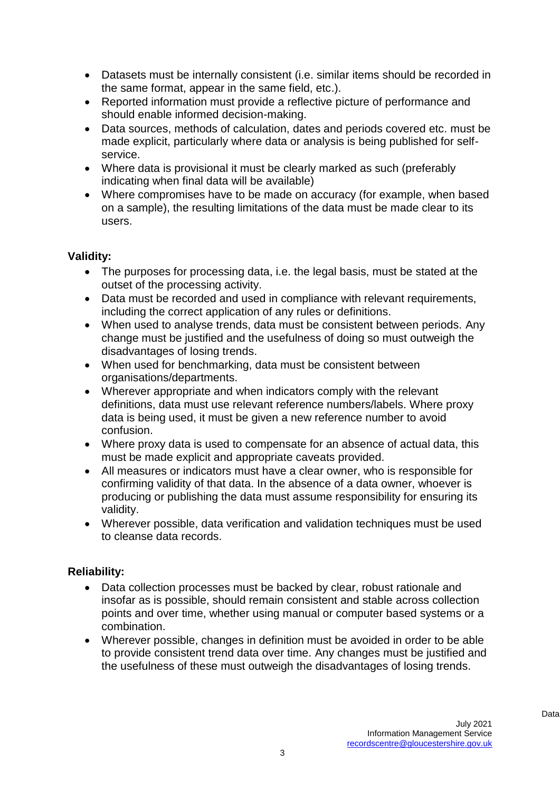- Datasets must be internally consistent (i.e. similar items should be recorded in the same format, appear in the same field, etc.).
- Reported information must provide a reflective picture of performance and should enable informed decision-making.
- Data sources, methods of calculation, dates and periods covered etc. must be made explicit, particularly where data or analysis is being published for selfservice.
- Where data is provisional it must be clearly marked as such (preferably indicating when final data will be available)
- Where compromises have to be made on accuracy (for example, when based on a sample), the resulting limitations of the data must be made clear to its users.

# **Validity:**

- The purposes for processing data, i.e. the legal basis, must be stated at the outset of the processing activity.
- Data must be recorded and used in compliance with relevant requirements, including the correct application of any rules or definitions.
- When used to analyse trends, data must be consistent between periods. Any change must be justified and the usefulness of doing so must outweigh the disadvantages of losing trends.
- When used for benchmarking, data must be consistent between organisations/departments.
- Wherever appropriate and when indicators comply with the relevant definitions, data must use relevant reference numbers/labels. Where proxy data is being used, it must be given a new reference number to avoid confusion.
- Where proxy data is used to compensate for an absence of actual data, this must be made explicit and appropriate caveats provided.
- All measures or indicators must have a clear owner, who is responsible for confirming validity of that data. In the absence of a data owner, whoever is producing or publishing the data must assume responsibility for ensuring its validity.
- Wherever possible, data verification and validation techniques must be used to cleanse data records.

# **Reliability:**

- Data collection processes must be backed by clear, robust rationale and insofar as is possible, should remain consistent and stable across collection points and over time, whether using manual or computer based systems or a combination.
- Wherever possible, changes in definition must be avoided in order to be able to provide consistent trend data over time. Any changes must be justified and the usefulness of these must outweigh the disadvantages of losing trends.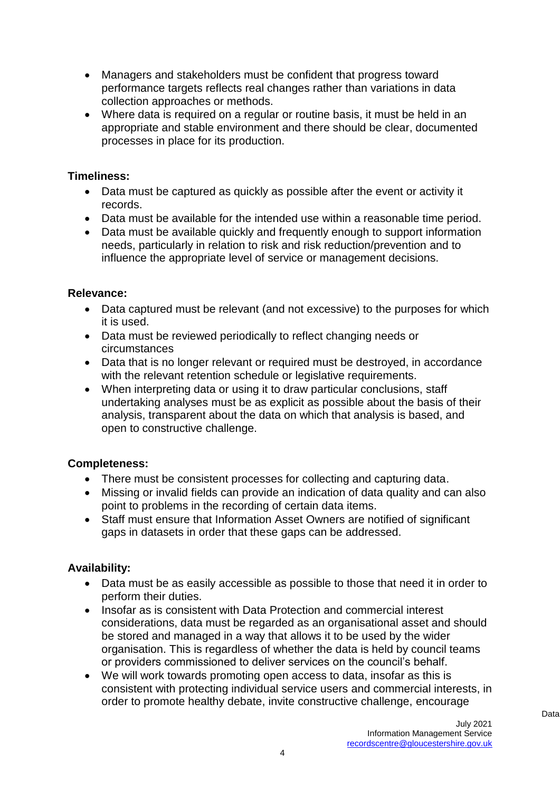- Managers and stakeholders must be confident that progress toward performance targets reflects real changes rather than variations in data collection approaches or methods.
- Where data is required on a regular or routine basis, it must be held in an appropriate and stable environment and there should be clear, documented processes in place for its production.

### **Timeliness:**

- Data must be captured as quickly as possible after the event or activity it records.
- Data must be available for the intended use within a reasonable time period.
- Data must be available quickly and frequently enough to support information needs, particularly in relation to risk and risk reduction/prevention and to influence the appropriate level of service or management decisions.

#### **Relevance:**

- Data captured must be relevant (and not excessive) to the purposes for which it is used.
- Data must be reviewed periodically to reflect changing needs or circumstances
- Data that is no longer relevant or required must be destroyed, in accordance with the relevant retention schedule or legislative requirements.
- When interpreting data or using it to draw particular conclusions, staff undertaking analyses must be as explicit as possible about the basis of their analysis, transparent about the data on which that analysis is based, and open to constructive challenge.

#### **Completeness:**

- There must be consistent processes for collecting and capturing data.
- Missing or invalid fields can provide an indication of data quality and can also point to problems in the recording of certain data items.
- Staff must ensure that Information Asset Owners are notified of significant gaps in datasets in order that these gaps can be addressed.

# **Availability:**

- Data must be as easily accessible as possible to those that need it in order to perform their duties.
- Insofar as is consistent with Data Protection and commercial interest considerations, data must be regarded as an organisational asset and should be stored and managed in a way that allows it to be used by the wider organisation. This is regardless of whether the data is held by council teams or providers commissioned to deliver services on the council's behalf.
- We will work towards promoting open access to data, insofar as this is consistent with protecting individual service users and commercial interests, in order to promote healthy debate, invite constructive challenge, encourage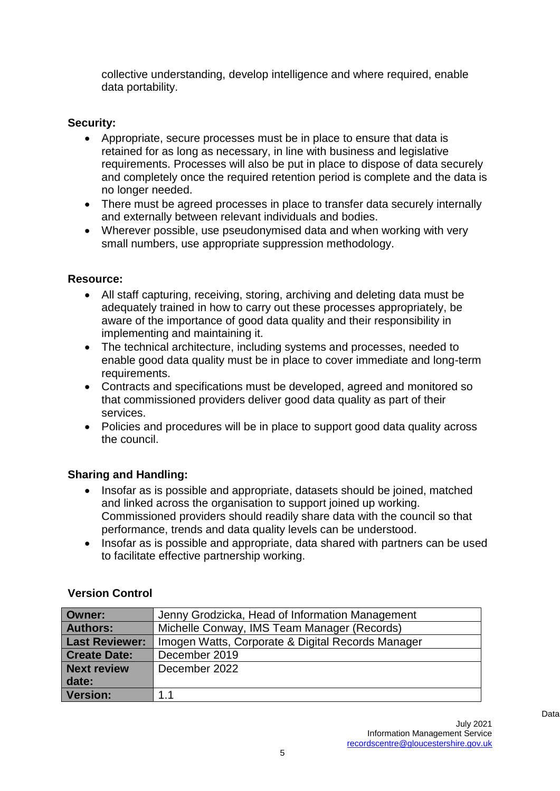collective understanding, develop intelligence and where required, enable data portability.

# **Security:**

- Appropriate, secure processes must be in place to ensure that data is retained for as long as necessary, in line with business and legislative requirements. Processes will also be put in place to dispose of data securely and completely once the required retention period is complete and the data is no longer needed.
- There must be agreed processes in place to transfer data securely internally and externally between relevant individuals and bodies.
- Wherever possible, use pseudonymised data and when working with very small numbers, use appropriate suppression methodology.

# **Resource:**

- All staff capturing, receiving, storing, archiving and deleting data must be adequately trained in how to carry out these processes appropriately, be aware of the importance of good data quality and their responsibility in implementing and maintaining it.
- The technical architecture, including systems and processes, needed to enable good data quality must be in place to cover immediate and long-term requirements.
- Contracts and specifications must be developed, agreed and monitored so that commissioned providers deliver good data quality as part of their services.
- Policies and procedures will be in place to support good data quality across the council.

# **Sharing and Handling:**

- Insofar as is possible and appropriate, datasets should be joined, matched and linked across the organisation to support joined up working. Commissioned providers should readily share data with the council so that performance, trends and data quality levels can be understood.
- Insofar as is possible and appropriate, data shared with partners can be used to facilitate effective partnership working.

| Owner:                | Jenny Grodzicka, Head of Information Management   |
|-----------------------|---------------------------------------------------|
| <b>Authors:</b>       | Michelle Conway, IMS Team Manager (Records)       |
| <b>Last Reviewer:</b> | Imogen Watts, Corporate & Digital Records Manager |
| <b>Create Date:</b>   | December 2019                                     |
| <b>Next review</b>    | December 2022                                     |
| date:                 |                                                   |
| <b>Version:</b>       | 1.1                                               |

# **Version Control**